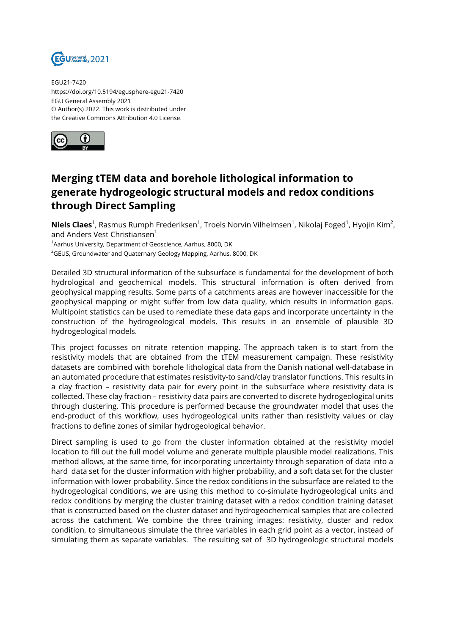

EGU21-7420 https://doi.org/10.5194/egusphere-egu21-7420 EGU General Assembly 2021 © Author(s) 2022. This work is distributed under the Creative Commons Attribution 4.0 License.



## **Merging tTEM data and borehole lithological information to generate hydrogeologic structural models and redox conditions through Direct Sampling**

**Niels Claes**<sup>1</sup>, Rasmus Rumph Frederiksen<sup>1</sup>, Troels Norvin Vilhelmsen<sup>1</sup>, Nikolaj Foged<sup>1</sup>, Hyojin Kim<sup>2</sup>, and Anders Vest Christiansen<sup>1</sup>

<sup>1</sup> Aarhus University, Department of Geoscience, Aarhus, 8000, DK

<sup>2</sup>GEUS, Groundwater and Quaternary Geology Mapping, Aarhus, 8000, DK

Detailed 3D structural information of the subsurface is fundamental for the development of both hydrological and geochemical models. This structural information is often derived from geophysical mapping results. Some parts of a catchments areas are however inaccessible for the geophysical mapping or might suffer from low data quality, which results in information gaps. Multipoint statistics can be used to remediate these data gaps and incorporate uncertainty in the construction of the hydrogeological models. This results in an ensemble of plausible 3D hydrogeological models.

This project focusses on nitrate retention mapping. The approach taken is to start from the resistivity models that are obtained from the tTEM measurement campaign. These resistivity datasets are combined with borehole lithological data from the Danish national well-database in an automated procedure that estimates resistivity-to sand/clay translator functions. This results in a clay fraction – resistivity data pair for every point in the subsurface where resistivity data is collected. These clay fraction – resistivity data pairs are converted to discrete hydrogeological units through clustering. This procedure is performed because the groundwater model that uses the end-product of this workflow, uses hydrogeological units rather than resistivity values or clay fractions to define zones of similar hydrogeological behavior.

Direct sampling is used to go from the cluster information obtained at the resistivity model location to fill out the full model volume and generate multiple plausible model realizations. This method allows, at the same time, for incorporating uncertainty through separation of data into a hard data set for the cluster information with higher probability, and a soft data set for the cluster information with lower probability. Since the redox conditions in the subsurface are related to the hydrogeological conditions, we are using this method to co-simulate hydrogeological units and redox conditions by merging the cluster training dataset with a redox condition training dataset that is constructed based on the cluster dataset and hydrogeochemical samples that are collected across the catchment. We combine the three training images: resistivity, cluster and redox condition, to simultaneous simulate the three variables in each grid point as a vector, instead of simulating them as separate variables. The resulting set of 3D hydrogeologic structural models